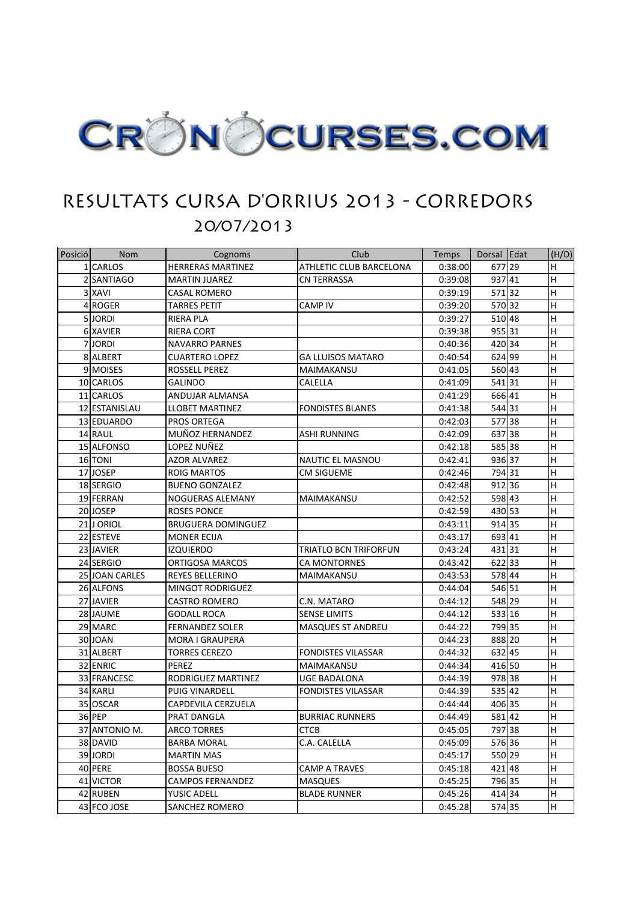

## RESULTATS CURSA D'ORRIUS 2013 - CORREDORS 20/07/2013

| Posició | <b>Nom</b>     | Cognoms                   | Club                           | <b>Temps</b> | Dorsal Edat | (H/D)                     |
|---------|----------------|---------------------------|--------------------------------|--------------|-------------|---------------------------|
|         | 1 CARLOS       | <b>HERRERAS MARTINEZ</b>  | <b>ATHLETIC CLUB BARCELONA</b> | 0:38:00      | 677 29      | $\boldsymbol{\mathsf{H}}$ |
|         | 2 SANTIAGO     | <b>MARTIN JUAREZ</b>      | <b>CN TERRASSA</b>             | 0:39:08      | 93741       | $\sf H$                   |
|         | 3 XAVI         | <b>CASAL ROMERO</b>       |                                | 0:39:19      | 57132       | H                         |
|         | 4 ROGER        | <b>TARRES PETIT</b>       | <b>CAMP IV</b>                 | 0:39:20      | 570 32      | $\sf H$                   |
|         | 5JORDI         | <b>RIERA PLA</b>          |                                | 0:39:27      | 510 48      | Iн                        |
|         | 6 XAVIER       | <b>RIERA CORT</b>         |                                | 0:39:38      | 95531       | Iн                        |
|         | 7JORDI         | <b>NAVARRO PARNES</b>     |                                | 0:40:36      | 420 34      | $\boldsymbol{\mathsf{H}}$ |
|         | 8 ALBERT       | <b>CUARTERO LOPEZ</b>     | <b>GA LLUISOS MATARO</b>       | 0:40:54      | 624 99      | H                         |
|         | 9 MOISES       | ROSSELL PEREZ             | MAIMAKANSU                     | 0:41:05      | 560 43      | $\sf H$                   |
|         | 10 CARLOS      | <b>GALINDO</b>            | <b>CALELLA</b>                 | 0:41:09      | 54131       | Iн                        |
|         | 11 CARLOS      | ANDUJAR ALMANSA           |                                | 0:41:29      | 666 41      | H                         |
|         | 12 ESTANISLAU  | <b>LLOBET MARTINEZ</b>    | <b>FONDISTES BLANES</b>        | 0:41:38      | 544 31      | $\boldsymbol{\mathsf{H}}$ |
|         | 13 EDUARDO     | <b>PROS ORTEGA</b>        |                                | 0:42:03      | 57738       | H                         |
|         | 14 RAUL        | MUÑOZ HERNANDEZ           | ASHI RUNNING                   | 0:42:09      | 637 38      | $\sf H$                   |
|         | 15 ALFONSO     | LOPEZ NUÑEZ               |                                | 0:42:18      | 585 38      | $\boldsymbol{\mathsf{H}}$ |
|         | 16 TONI        | <b>AZOR ALVAREZ</b>       | <b>NAUTIC EL MASNOU</b>        | 0:42:41      | 936 37      | Iн                        |
|         | 17JJOSEP       | <b>ROIG MARTOS</b>        | <b>CM SIGUEME</b>              | 0:42:46      | 794 31      | $\sf H$                   |
|         | 18 SERGIO      | <b>BUENO GONZALEZ</b>     |                                | 0:42:48      | 912 36      | H                         |
|         | 19 FERRAN      | NOGUERAS ALEMANY          | MAIMAKANSU                     | 0:42:52      | 598 43      | H                         |
|         | 20 JOSEP       | <b>ROSES PONCE</b>        |                                | 0:42:59      | 430 53      | H                         |
|         | 21 J ORIOL     | <b>BRUGUERA DOMINGUEZ</b> |                                | 0:43:11      | 914 35      | Iн                        |
|         | 22 ESTEVE      | <b>MONER ECIJA</b>        |                                | 0:43:17      | 693 41      | H                         |
|         | 23 JAVIER      | <b>IZQUIERDO</b>          | <b>TRIATLO BCN TRIFORFUN</b>   | 0:43:24      | 43131       | H                         |
|         | 24 SERGIO      | ORTIGOSA MARCOS           | <b>CA MONTORNES</b>            | 0:43:42      | 622 33      | H                         |
|         | 25 JOAN CARLES | REYES BELLERINO           | MAIMAKANSU                     | 0:43:53      | 578 44      | H                         |
|         | 26 ALFONS      | <b>MINGOT RODRIGUEZ</b>   |                                | 0:44:04      | 546 51      | $\sf H$                   |
|         | 27 JAVIER      | <b>CASTRO ROMERO</b>      | C.N. MATARO                    | 0:44:12      | 548 29      | H                         |
|         | 28 JAUME       | <b>GODALL ROCA</b>        | <b>SENSE LIMITS</b>            | 0:44:12      | 533 16      | H                         |
|         | 29 MARC        | <b>FERNANDEZ SOLER</b>    | <b>MASQUES ST ANDREU</b>       | 0:44:22      | 799 35      | H                         |
|         | 30 JOAN        | <b>MORA I GRAUPERA</b>    |                                | 0:44:23      | 888 20      | H                         |
|         | 31 ALBERT      | <b>TORRES CEREZO</b>      | <b>FONDISTES VILASSAR</b>      | 0:44:32      | 632 45      | IH.                       |
|         | 32 ENRIC       | PEREZ                     | MAIMAKANSU                     | 0:44:34      | 416 50      | H                         |
|         | 33 FRANCESC    | RODRIGUEZ MARTINEZ        | <b>UGE BADALONA</b>            | 0:44:39      | 978 38      | H                         |
|         | 34 KARLI       | PUIG VINARDELL            | <b>FONDISTES VILASSAR</b>      | 0:44:39      | 535 42      | H                         |
|         | 35 OSCAR       | CAPDEVILA CERZUELA        |                                | 0:44:44      | 406 35      | H                         |
|         | 36 PEP         | PRAT DANGLA               | <b>BURRIAC RUNNERS</b>         | 0:44:49      | 58142       | H                         |
|         | 37 ANTONIO M.  | <b>ARCO TORRES</b>        | <b>CTCB</b>                    | 0:45:05      | 797 38      | H                         |
|         | 38 DAVID       | <b>BARBA MORAL</b>        | C.A. CALELLA                   | 0:45:09      | 576 36      | H                         |
|         | 39 JORDI       | <b>MARTIN MAS</b>         |                                | 0:45:17      | 550 29      | H                         |
|         | 40 PERE        | <b>BOSSA BUESO</b>        | <b>CAMP A TRAVES</b>           | 0:45:18      | 42148       | H                         |
|         | 41 VICTOR      | <b>CAMPOS FERNANDEZ</b>   | <b>MASQUES</b>                 | 0:45:25      | 796 35      | H                         |
|         | 42 RUBEN       | <b>YUSIC ADELL</b>        | <b>BLADE RUNNER</b>            | 0:45:26      | 414 34      | H                         |
|         | 43 FCO JOSE    | SANCHEZ ROMERO            |                                | 0:45:28      | 574 35      | H                         |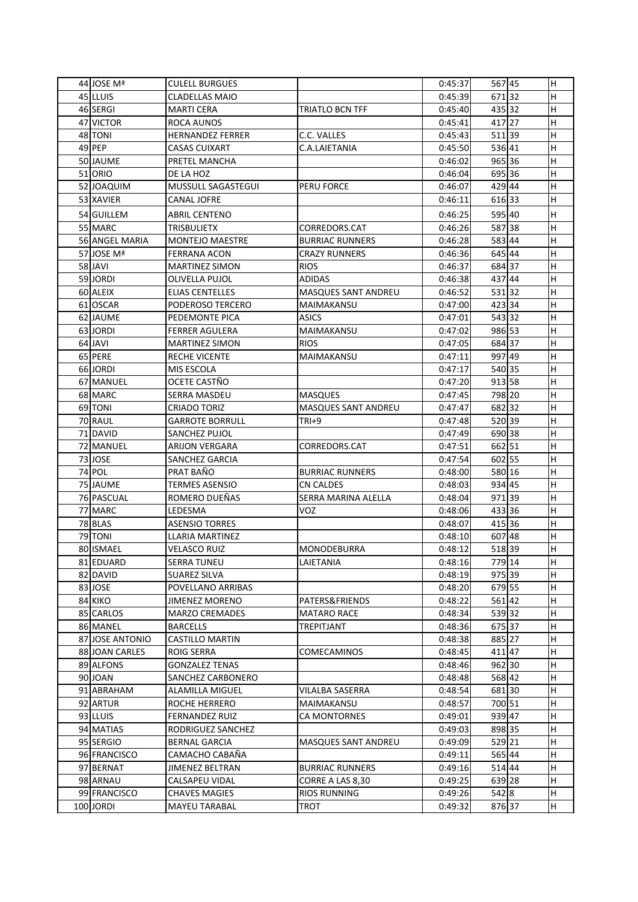| 44 JOSE Mª      | <b>CULELL BURGUES</b>     |                            | 0:45:37 | 567 45 | Н                       |
|-----------------|---------------------------|----------------------------|---------|--------|-------------------------|
| 45 LLUIS        | <b>CLADELLAS MAIO</b>     |                            | 0:45:39 | 67132  | H                       |
| 46 SERGI        | <b>MARTI CERA</b>         | TRIATLO BCN TFF            | 0:45:40 | 43532  | H                       |
| 47 VICTOR       | ROCA AUNOS                |                            | 0:45:41 | 417 27 | H                       |
| 48 TONI         | <b>HERNANDEZ FERRER</b>   | C.C. VALLES                | 0:45:43 | 51139  | H                       |
| 49 PEP          | <b>CASAS CUIXART</b>      | C.A.LAIETANIA              | 0:45:50 | 536 41 | $\sf H$                 |
| 50 JAUME        | PRETEL MANCHA             |                            | 0:46:02 | 965 36 | H                       |
| 51 ORIO         | DE LA HOZ                 |                            | 0:46:04 | 69536  | $\mathsf{H}$            |
| 52 JOAQUIM      | <b>MUSSULL SAGASTEGUI</b> | PERU FORCE                 | 0:46:07 | 429 44 | H                       |
| 53 XAVIER       | <b>CANAL JOFRE</b>        |                            | 0:46:11 | 616 33 | H                       |
| 54 GUILLEM      | <b>ABRIL CENTENO</b>      |                            | 0:46:25 | 595 40 | H                       |
| 55 MARC         | <b>TRISBULIETX</b>        | CORREDORS.CAT              | 0:46:26 | 58738  | H                       |
| 56 ANGEL MARIA  | <b>MONTEJO MAESTRE</b>    | <b>BURRIAC RUNNERS</b>     | 0:46:28 | 58344  | H                       |
| 57 JOSE Mª      | <b>FERRANA ACON</b>       | <b>CRAZY RUNNERS</b>       | 0:46:36 | 645 44 | H                       |
| 58 JAVI         | <b>MARTINEZ SIMON</b>     | <b>RIOS</b>                | 0:46:37 | 684 37 | H                       |
| 59JORDI         | <b>OLIVELLA PUJOL</b>     | <b>ADIDAS</b>              | 0:46:38 | 437 44 | H                       |
| 60 ALEIX        | <b>ELIAS CENTELLES</b>    | MASQUES SANT ANDREU        | 0:46:52 | 53132  | H                       |
| 61 OSCAR        | PODEROSO TERCERO          | MAIMAKANSU                 | 0:47:00 | 423 34 | H                       |
| 62 JAUME        | PEDEMONTE PICA            | <b>ASICS</b>               | 0:47:01 | 54332  | H                       |
| 63 JORDI        | <b>FERRER AGULERA</b>     | MAIMAKANSU                 | 0:47:02 | 986 53 | $\mathsf{H}$            |
| 64 JAVI         | <b>MARTINEZ SIMON</b>     | <b>RIOS</b>                | 0:47:05 | 68437  | H                       |
| 65 PERE         | <b>RECHE VICENTE</b>      | MAIMAKANSU                 | 0:47:11 | 997 49 | H                       |
| 66 JORDI        | MIS ESCOLA                |                            | 0:47:17 | 540 35 | $\mathsf{H}$            |
| 67 MANUEL       | OCETE CASTÑO              |                            | 0:47:20 | 913 58 | H                       |
| 68 MARC         | <b>SERRA MASDEU</b>       | <b>MASQUES</b>             | 0:47:45 | 798 20 | H                       |
| 69 TONI         | <b>CRIADO TORIZ</b>       | <b>MASQUES SANT ANDREU</b> | 0:47:47 | 68232  | H                       |
| 70 RAUL         | <b>GARROTE BORRULL</b>    | $TRI+9$                    | 0:47:48 | 520 39 | H                       |
| 71 DAVID        | SANCHEZ PUJOL             |                            | 0:47:49 | 690 38 | H                       |
| 72 MANUEL       | <b>ARIJON VERGARA</b>     | CORREDORS.CAT              | 0:47:51 | 662 51 | H                       |
| 73 JOSE         | <b>SANCHEZ GARCIA</b>     |                            | 0:47:54 | 602 55 | $\mathsf{H}$            |
| 74 POL          | PRAT BAÑO                 | <b>BURRIAC RUNNERS</b>     | 0:48:00 | 580 16 | $\overline{\mathsf{H}}$ |
| 75 JAUME        | <b>TERMES ASENSIO</b>     | <b>CN CALDES</b>           | 0:48:03 | 934 45 | H                       |
| 76 PASCUAL      | ROMERO DUEÑAS             | <b>SERRA MARINA ALELLA</b> | 0:48:04 | 97139  | H                       |
| 77 MARC         | LEDESMA                   | <b>VOZ</b>                 | 0:48:06 | 43336  | H                       |
| 78 BLAS         | <b>ASENSIO TORRES</b>     |                            | 0:48:07 | 415 36 | H                       |
| 79 TONI         | LLARIA MARTINEZ           |                            | 0:48:10 | 607 48 | H                       |
| 80 ISMAEL       | <b>VELASCO RUIZ</b>       | <b>MONODEBURRA</b>         | 0:48:12 | 518 39 | H                       |
| 81 EDUARD       | <b>SERRA TUNEU</b>        | LAIETANIA                  | 0:48:16 | 779 14 | H                       |
| 82 DAVID        | <b>SUAREZ SILVA</b>       |                            | 0:48:19 | 975 39 | H                       |
| 83JJOSE         | POVELLANO ARRIBAS         |                            | 0:48:20 | 679 55 | H                       |
| 84 KIKO         | <b>JIMENEZ MORENO</b>     | PATERS&FRIENDS             | 0:48:22 | 561 42 | H                       |
| 85 CARLOS       | <b>MARZO CREMADES</b>     | <b>MATARO RACE</b>         | 0:48:34 | 53932  | H                       |
| 86 MANEL        | <b>BARCELLS</b>           | <b>TREPITJANT</b>          | 0:48:36 | 67537  | Н                       |
| 87 JOSE ANTONIO | <b>CASTILLO MARTIN</b>    |                            | 0:48:38 | 885 27 | H                       |
| 88 JOAN CARLES  | <b>ROIG SERRA</b>         | <b>COMECAMINOS</b>         | 0:48:45 | 411 47 | H                       |
| 89 ALFONS       | <b>GONZALEZ TENAS</b>     |                            | 0:48:46 | 962 30 | H                       |
| 90 JOAN         | SANCHEZ CARBONERO         |                            | 0:48:48 | 568 42 | H                       |
| 91 ABRAHAM      | <b>ALAMILLA MIGUEL</b>    | VILALBA SASERRA            | 0:48:54 | 68130  | H                       |
| 92 ARTUR        | ROCHE HERRERO             | MAIMAKANSU                 | 0:48:57 | 700 51 | H                       |
| 93 LLUIS        | <b>FERNANDEZ RUIZ</b>     | CA MONTORNES               | 0:49:01 | 939 47 | H                       |
| 94 MATIAS       | RODRIGUEZ SANCHEZ         |                            | 0:49:03 | 898 35 | H                       |
| 95 SERGIO       | <b>BERNAL GARCIA</b>      | MASQUES SANT ANDREU        | 0:49:09 | 529 21 | H                       |
| 96 FRANCISCO    | CAMACHO CABAÑA            |                            | 0:49:11 | 565 44 | H                       |
| 97 BERNAT       | <b>JIMENEZ BELTRAN</b>    | <b>BURRIAC RUNNERS</b>     | 0:49:16 | 514 44 | H                       |
| 98 ARNAU        | <b>CALSAPEU VIDAL</b>     | CORRE A LAS 8,30           | 0:49:25 | 639 28 | H                       |
| 99 FRANCISCO    | <b>CHAVES MAGIES</b>      | <b>RIOS RUNNING</b>        | 0:49:26 | 542 8  | Н                       |
| 100 JORDI       | <b>MAYEU TARABAL</b>      | <b>TROT</b>                | 0:49:32 | 876 37 | H                       |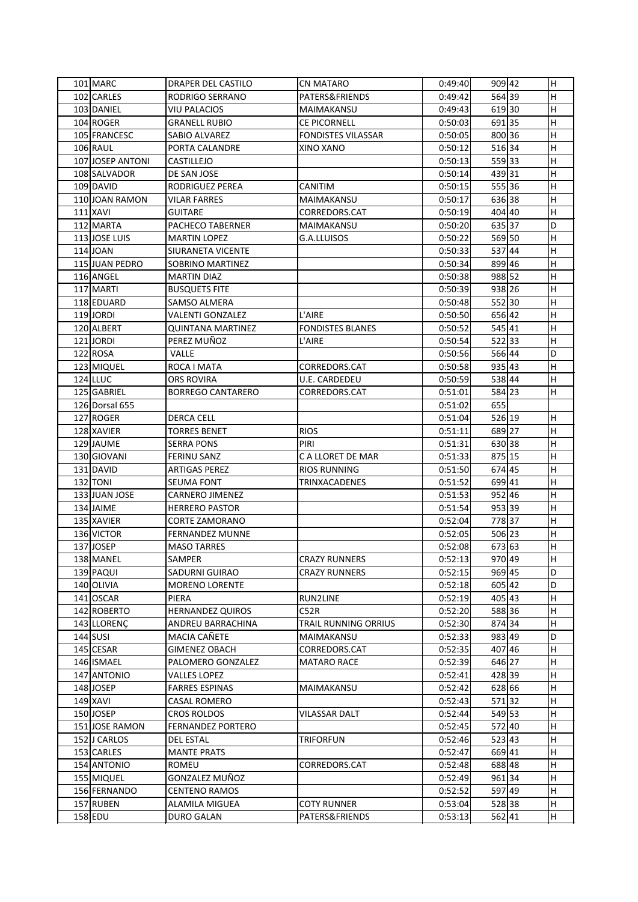| 101 MARC         | <b>DRAPER DEL CASTILO</b> | <b>CN MATARO</b>          | 0:49:40 | 909 42 | H                       |
|------------------|---------------------------|---------------------------|---------|--------|-------------------------|
| 102 CARLES       | RODRIGO SERRANO           | PATERS&FRIENDS            | 0:49:42 | 564 39 | H                       |
| 103 DANIEL       | <b>VIU PALACIOS</b>       | MAIMAKANSU                | 0:49:43 | 61930  | H                       |
| 104 ROGER        | <b>GRANELL RUBIO</b>      | <b>CE PICORNELL</b>       | 0:50:03 | 69135  | H                       |
| 105 FRANCESC     | SABIO ALVAREZ             | <b>FONDISTES VILASSAR</b> | 0:50:05 | 800 36 | Н                       |
| <b>106 RAUL</b>  | PORTA CALANDRE            | XINO XANO                 | 0:50:12 | 51634  | H                       |
| 107 JOSEP ANTONI | <b>CASTILLEJO</b>         |                           | 0:50:13 | 55933  | H                       |
| 108 SALVADOR     | DE SAN JOSE               |                           | 0:50:14 | 43931  | H                       |
| 109 DAVID        | RODRIGUEZ PEREA           | <b>CANITIM</b>            | 0:50:15 | 55536  | H                       |
| 110JJOAN RAMON   | <b>VILAR FARRES</b>       | MAIMAKANSU                | 0:50:17 | 63638  | H                       |
| 111 XAVI         | <b>GUITARE</b>            | CORREDORS.CAT             | 0:50:19 | 404 40 | H                       |
| 112 MARTA        | PACHECO TABERNER          | MAIMAKANSU                | 0:50:20 | 635 37 | D                       |
| 113 JOSE LUIS    | <b>MARTIN LOPEZ</b>       | G.A.LLUISOS               | 0:50:22 | 569 50 | H                       |
| 114 JOAN         | <b>SIURANETA VICENTE</b>  |                           | 0:50:33 | 53744  | H                       |
| 115 JUAN PEDRO   | <b>SOBRINO MARTINEZ</b>   |                           | 0:50:34 | 899 46 | H                       |
| 116 ANGEL        | <b>MARTIN DIAZ</b>        |                           | 0:50:38 | 988 52 | H                       |
| 117 MARTI        | <b>BUSQUETS FITE</b>      |                           | 0:50:39 | 938 26 | $\overline{\mathsf{H}}$ |
| 118 EDUARD       | <b>SAMSO ALMERA</b>       |                           | 0:50:48 | 55230  | H                       |
| 119JORDI         | VALENTI GONZALEZ          | L'AIRE                    | 0:50:50 | 656 42 | Η                       |
| 120 ALBERT       | <b>QUINTANA MARTINEZ</b>  | <b>FONDISTES BLANES</b>   | 0:50:52 | 545 41 | $\overline{\mathsf{H}}$ |
| 121JORDI         | PEREZ MUÑOZ               | L'AIRE                    | 0:50:54 | 52233  | H                       |
| 122 ROSA         | <b>VALLE</b>              |                           | 0:50:56 | 566 44 | D                       |
| 123 MIQUEL       | ROCA I MATA               | CORREDORS.CAT             | 0:50:58 | 935 43 | H                       |
| $124$ LLUC       |                           | <b>U.E. CARDEDEU</b>      | 0:50:59 | 538 44 | H                       |
|                  | <b>ORS ROVIRA</b>         |                           |         |        |                         |
| 125 GABRIEL      | <b>BORREGO CANTARERO</b>  | CORREDORS.CAT             | 0:51:01 | 584 23 | H                       |
| 126 Dorsal 655   |                           |                           | 0:51:02 | 655    |                         |
| 127 ROGER        | <b>DERCA CELL</b>         |                           | 0:51:04 | 526 19 | H                       |
| 128 XAVIER       | <b>TORRES BENET</b>       | <b>RIOS</b>               | 0:51:11 | 689 27 | H                       |
| 129 JAUME        | <b>SERRA PONS</b>         | PIRI                      | 0:51:31 | 630 38 | H                       |
| 130 GIOVANI      | <b>FERINU SANZ</b>        | C A LLORET DE MAR         | 0:51:33 | 875 15 | H                       |
| 131 DAVID        | <b>ARTIGAS PEREZ</b>      | <b>RIOS RUNNING</b>       | 0:51:50 | 674 45 | $\overline{\mathsf{H}}$ |
| 132 TONI         | <b>SEUMA FONT</b>         | <b>TRINXACADENES</b>      | 0:51:52 | 699 41 | H                       |
| 133 JUAN JOSE    | <b>CARNERO JIMENEZ</b>    |                           | 0:51:53 | 952 46 | H                       |
| 134 JAIME        | <b>HERRERO PASTOR</b>     |                           | 0:51:54 | 953 39 | H                       |
| 135 XAVIER       | <b>CORTE ZAMORANO</b>     |                           | 0:52:04 | 77837  | H                       |
| 136 VICTOR       | <b>FERNANDEZ MUNNE</b>    |                           | 0:52:05 | 506 23 | H                       |
| 137JJOSEP        | <b>MASO TARRES</b>        |                           | 0:52:08 | 673 63 | H                       |
| 138 MANEL        | SAMPER                    | <b>CRAZY RUNNERS</b>      | 0:52:13 | 970 49 | H                       |
| 139 PAQUI        | SADURNI GUIRAO            | <b>CRAZY RUNNERS</b>      | 0:52:15 | 969 45 | D                       |
| 140 OLIVIA       | <b>MORENO LORENTE</b>     |                           | 0:52:18 | 605 42 | D                       |
| 141 OSCAR        | PIERA                     | RUN2LINE                  | 0:52:19 | 405 43 | Η                       |
| 142 ROBERTO      | <b>HERNANDEZ QUIROS</b>   | C52R                      | 0:52:20 | 58836  | H                       |
| 143 LLORENÇ      | ANDREU BARRACHINA         | TRAIL RUNNING ORRIUS      | 0:52:30 | 874 34 | H                       |
| $144$ SUSI       | MACIA CAÑETE              | MAIMAKANSU                | 0:52:33 | 983 49 | D                       |
| 145 CESAR        | <b>GIMENEZ OBACH</b>      | CORREDORS.CAT             | 0:52:35 | 407 46 | H                       |
| 146 ISMAEL       | PALOMERO GONZALEZ         | <b>MATARO RACE</b>        | 0:52:39 | 646 27 | H                       |
| 147 ANTONIO      | <b>VALLES LOPEZ</b>       |                           | 0:52:41 | 428 39 | H                       |
| 148 JOSEP        | <b>FARRES ESPINAS</b>     | MAIMAKANSU                | 0:52:42 | 628 66 | H                       |
| <b>149 XAVI</b>  | <b>CASAL ROMERO</b>       |                           | 0:52:43 | 57132  | H                       |
| 150JOSEP         | <b>CROS ROLDOS</b>        | <b>VILASSAR DALT</b>      | 0:52:44 | 549 53 | Η                       |
| 151 JOSE RAMON   | <b>FERNANDEZ PORTERO</b>  |                           | 0:52:45 | 572 40 | H                       |
| 152 J CARLOS     | <b>DEL ESTAL</b>          | <b>TRIFORFUN</b>          | 0:52:46 | 523 43 | H                       |
| 153 CARLES       | <b>MANTE PRATS</b>        |                           | 0:52:47 | 669 41 | H                       |
| 154 ANTONIO      | ROMEU                     | CORREDORS.CAT             | 0:52:48 | 688 48 | H                       |
| 155 MIQUEL       | GONZALEZ MUÑOZ            |                           | 0:52:49 | 96134  | H                       |
| 156 FERNANDO     | <b>CENTENO RAMOS</b>      |                           | 0:52:52 | 597 49 | H                       |
| 157 RUBEN        | <b>ALAMILA MIGUEA</b>     | <b>COTY RUNNER</b>        | 0:53:04 | 528 38 | H                       |
| 158 EDU          | <b>DURO GALAN</b>         | PATERS&FRIENDS            | 0:53:13 | 562 41 | H                       |
|                  |                           |                           |         |        |                         |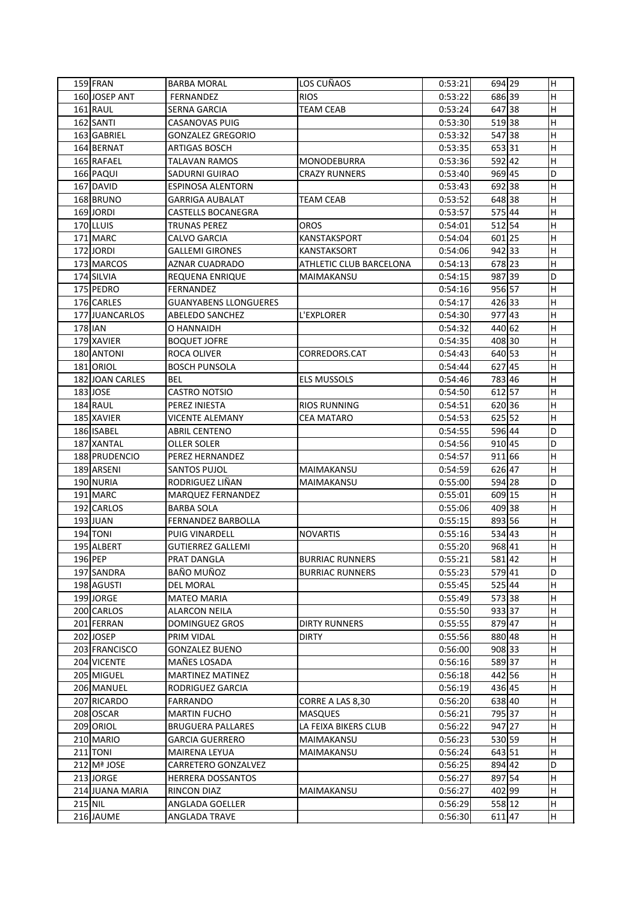|         | 159 FRAN        | <b>BARBA MORAL</b>           | LOS CUÑAOS                     | 0:53:21 | 694 29    | H            |
|---------|-----------------|------------------------------|--------------------------------|---------|-----------|--------------|
|         | 160 JOSEP ANT   | FERNANDEZ                    | <b>RIOS</b>                    | 0:53:22 | 686 39    | H            |
|         | 161 RAUL        | <b>SERNA GARCIA</b>          | <b>TEAM CEAB</b>               | 0:53:24 | 647 38    | H            |
|         | 162 SANTI       | <b>CASANOVAS PUIG</b>        |                                | 0:53:30 | 51938     | H            |
|         | 163 GABRIEL     | <b>GONZALEZ GREGORIO</b>     |                                | 0:53:32 | 547 38    | $\mathsf{H}$ |
|         | 164 BERNAT      | <b>ARTIGAS BOSCH</b>         |                                | 0:53:35 | 65331     | H            |
|         | 165 RAFAEL      | <b>TALAVAN RAMOS</b>         | <b>MONODEBURRA</b>             | 0:53:36 | 592 42    | H            |
|         | 166 PAQUI       | SADURNI GUIRAO               | <b>CRAZY RUNNERS</b>           | 0:53:40 | 969 45    | D            |
|         | 167 DAVID       | <b>ESPINOSA ALENTORN</b>     |                                | 0:53:43 | 69238     | H            |
|         | 168 BRUNO       | <b>GARRIGA AUBALAT</b>       | <b>TEAM CEAB</b>               | 0:53:52 | 648 38    | H            |
|         | 169 JORDI       | <b>CASTELLS BOCANEGRA</b>    |                                | 0:53:57 | 575 44    | Н            |
|         | 170 LLUIS       | <b>TRUNAS PEREZ</b>          | <b>OROS</b>                    | 0:54:01 | 512 54    | H            |
|         | 171 MARC        | CALVO GARCIA                 | <b>KANSTAKSPORT</b>            | 0:54:04 | 601 25    | H            |
|         | 172JORDI        | <b>GALLEMI GIRONES</b>       | KANSTAKSORT                    | 0:54:06 | 94233     | H            |
|         | 173 MARCOS      | <b>AZNAR CUADRADO</b>        | <b>ATHLETIC CLUB BARCELONA</b> | 0:54:13 | 678 23    | H            |
|         | 174 SILVIA      | REQUENA ENRIQUE              | MAIMAKANSU                     | 0:54:15 | 987 39    | D            |
|         | 175 PEDRO       | <b>FERNANDEZ</b>             |                                | 0:54:16 | 956 57    | $\mathsf{H}$ |
|         | 176 CARLES      | <b>GUANYABENS LLONGUERES</b> |                                | 0:54:17 | 426 33    | H            |
|         | 177JJUANCARLOS  | <b>ABELEDO SANCHEZ</b>       | L'EXPLORER                     | 0:54:30 | 977 43    | H            |
|         | 178 IAN         | O HANNAIDH                   |                                | 0:54:32 | 440 62    | H            |
|         | 179 XAVIER      | <b>BOQUET JOFRE</b>          |                                | 0:54:35 | 408 30    | н            |
|         | 180 ANTONI      | <b>ROCA OLIVER</b>           | CORREDORS.CAT                  | 0:54:43 | 640 53    | H            |
|         | 181 ORIOL       | <b>BOSCH PUNSOLA</b>         |                                | 0:54:44 | 627 45    | H            |
|         | 182 JOAN CARLES | <b>BEL</b>                   | <b>ELS MUSSOLS</b>             | 0:54:46 | 783 46    | H            |
|         | 183 JOSE        | <b>CASTRO NOTSIO</b>         |                                | 0:54:50 | 612 57    | H            |
|         | 184 RAUL        | PEREZ INIESTA                | <b>RIOS RUNNING</b>            | 0:54:51 | 620 36    | H            |
|         | 185 XAVIER      | <b>VICENTE ALEMANY</b>       | <b>CEA MATARO</b>              | 0:54:53 | 625 52    | H            |
|         | 186 ISABEL      | <b>ABRIL CENTENO</b>         |                                | 0:54:55 | 596 44    | D            |
|         | 187 XANTAL      | <b>OLLER SOLER</b>           |                                | 0:54:56 | 910 45    | D            |
|         | 188 PRUDENCIO   | PEREZ HERNANDEZ              |                                | 0:54:57 | 911 66    | H            |
|         | 189 ARSENI      | <b>SANTOS PUJOL</b>          | <b>MAIMAKANSU</b>              | 0:54:59 | 626 47    | $\mathsf{H}$ |
|         | 190 NURIA       | RODRIGUEZ LIÑAN              | MAIMAKANSU                     | 0:55:00 | 594 28    | D            |
|         | 191 MARC        | MARQUEZ FERNANDEZ            |                                | 0:55:01 | 609 15    | H            |
|         | 192 CARLOS      | <b>BARBA SOLA</b>            |                                | 0:55:06 | 409 38    | H            |
|         | $193$ JUAN      | <b>FERNANDEZ BARBOLLA</b>    |                                | 0:55:15 | 893 56    | H            |
|         | $194$ TONI      | <b>PUIG VINARDELL</b>        | <b>NOVARTIS</b>                | 0:55:16 | 534 43    | H            |
|         | 195 ALBERT      | <b>GUTIERREZ GALLEMI</b>     |                                | 0:55:20 | 968 41    | H            |
|         | 196 PEP         | PRAT DANGLA                  | <b>BURRIAC RUNNERS</b>         | 0:55:21 | 58142     | H            |
|         | 197 SANDRA      | BAÑO MUÑOZ                   | <b>BURRIAC RUNNERS</b>         | 0:55:23 | 57941     | D            |
|         | 198 AGUSTI      | <b>DEL MORAL</b>             |                                | 0:55:45 | 525 44    | H            |
|         | 199 JORGE       | <b>MATEO MARIA</b>           |                                | 0:55:49 | 57338     | H            |
|         | 200 CARLOS      | <b>ALARCON NEILA</b>         |                                | 0:55:50 | 93337     | Н            |
|         | 201 FERRAN      | <b>DOMINGUEZ GROS</b>        | <b>DIRTY RUNNERS</b>           | 0:55:55 | 879 47    | н            |
|         | 202JOSEP        | PRIM VIDAL                   | <b>DIRTY</b>                   | 0:55:56 | 880 48    | H            |
|         | 203 FRANCISCO   | <b>GONZALEZ BUENO</b>        |                                | 0:56:00 | 908 33    | H            |
|         | 204 VICENTE     | MAÑES LOSADA                 |                                | 0:56:16 | 58937     | H            |
|         | 205 MIGUEL      | <b>MARTINEZ MATINEZ</b>      |                                | 0:56:18 | 442 56    | H            |
|         | 206 MANUEL      | RODRIGUEZ GARCIA             |                                | 0:56:19 | 436 45    | H            |
|         | 207 RICARDO     | <b>FARRANDO</b>              | CORRE A LAS 8,30               | 0:56:20 | 638 40    | H            |
|         | 208 OSCAR       | <b>MARTIN FUCHO</b>          | <b>MASQUES</b>                 | 0:56:21 | 79537     | H            |
|         | 209 ORIOL       | <b>BRUGUERA PALLARES</b>     | LA FEIXA BIKERS CLUB           | 0:56:22 | 947 27    | H            |
|         | 210 MARIO       | <b>GARCIA GUERRERO</b>       | MAIMAKANSU                     | 0:56:23 | 530 59    | H            |
|         | $211$ TONI      | <b>MAIRENA LEYUA</b>         | MAIMAKANSU                     | 0:56:24 | 643 51    | H            |
|         | 212 Mª JOSE     | CARRETERO GONZALVEZ          |                                | 0:56:25 | 894 42    | D            |
|         | 213JORGE        | <b>HERRERA DOSSANTOS</b>     |                                |         | 897 54    |              |
|         | 214 JUANA MARIA |                              |                                | 0:56:27 |           | H<br>H       |
|         |                 | RINCON DIAZ                  | MAIMAKANSU                     | 0:56:27 | 402 99    |              |
| 215 NIL |                 | ANGLADA GOELLER              |                                | 0:56:29 | 558 12    | H            |
|         | 216 JAUME       | <b>ANGLADA TRAVE</b>         |                                | 0:56:30 | $611$  47 | H            |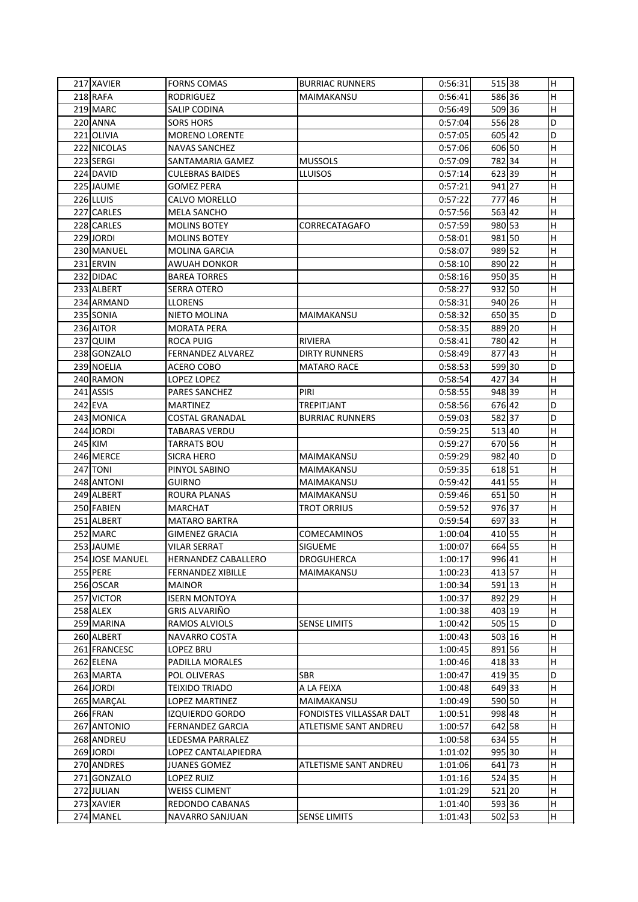| 217 XAVIER      | <b>FORNS COMAS</b>       | <b>BURRIAC RUNNERS</b>   | 0:56:31 | 515 38 | Н            |
|-----------------|--------------------------|--------------------------|---------|--------|--------------|
| 218 RAFA        | <b>RODRIGUEZ</b>         | MAIMAKANSU               | 0:56:41 | 586 36 | H            |
| 219 MARC        | <b>SALIP CODINA</b>      |                          | 0:56:49 | 509 36 | H            |
| 220 ANNA        | <b>SORS HORS</b>         |                          | 0:57:04 | 556 28 | D            |
| 221 OLIVIA      | <b>MORENO LORENTE</b>    |                          | 0:57:05 | 605 42 | D            |
| 222 NICOLAS     | <b>NAVAS SANCHEZ</b>     |                          | 0:57:06 | 606 50 | Н            |
| 223 SERGI       | SANTAMARIA GAMEZ         | <b>MUSSOLS</b>           | 0:57:09 | 782 34 | Η            |
| 224 DAVID       | <b>CULEBRAS BAIDES</b>   | <b>LLUISOS</b>           | 0:57:14 | 62339  | H            |
| 225 JAUME       | <b>GOMEZ PERA</b>        |                          | 0:57:21 | 941 27 | H            |
| 226 LLUIS       | CALVO MORELLO            |                          | 0:57:22 | 777 46 | H            |
| 227 CARLES      | <b>MELA SANCHO</b>       |                          | 0:57:56 | 563 42 | H            |
| 228 CARLES      | <b>MOLINS BOTEY</b>      | CORRECATAGAFO            | 0:57:59 | 980 53 | $\mathsf{H}$ |
| 229 JORDI       | <b>MOLINS BOTEY</b>      |                          | 0:58:01 | 981 50 | H            |
| 230 MANUEL      | <b>MOLINA GARCIA</b>     |                          | 0:58:07 | 989 52 | H            |
| 231 ERVIN       | AWUAH DONKOR             |                          | 0:58:10 | 890 22 | H            |
| 232 DIDAC       | <b>BAREA TORRES</b>      |                          | 0:58:16 | 950 35 | H            |
| 233 ALBERT      | <b>SERRA OTERO</b>       |                          | 0:58:27 | 932 50 | H            |
| 234 ARMAND      | <b>LLORENS</b>           |                          | 0:58:31 | 940 26 | H            |
| 235 SONIA       | NIETO MOLINA             | MAIMAKANSU               | 0:58:32 | 650 35 | D            |
| 236 AITOR       | <b>MORATA PERA</b>       |                          | 0:58:35 | 889 20 | Н            |
| 237 QUIM        | <b>ROCA PUIG</b>         | <b>RIVIERA</b>           | 0:58:41 | 780 42 | H            |
| 238 GONZALO     | FERNANDEZ ALVAREZ        | <b>DIRTY RUNNERS</b>     | 0:58:49 | 877 43 | H            |
| 239 NOELIA      | ACERO COBO               | <b>MATARO RACE</b>       | 0:58:53 | 59930  | D            |
| 240 RAMON       | LOPEZ LOPEZ              |                          | 0:58:54 | 427 34 | H            |
|                 |                          |                          |         |        |              |
| 241 ASSIS       | <b>PARES SANCHEZ</b>     | PIRI                     | 0:58:55 | 948 39 | H            |
| $242$ EVA       | <b>MARTINEZ</b>          | <b>TREPITJANT</b>        | 0:58:56 | 676 42 | D            |
| 243 MONICA      | <b>COSTAL GRANADAL</b>   | <b>BURRIAC RUNNERS</b>   | 0:59:03 | 58237  | D            |
| 244 JORDI       | <b>TABARAS VERDU</b>     |                          | 0:59:25 | 513 40 | н            |
| 245 KIM         | <b>TARRATS BOU</b>       |                          | 0:59:27 | 670 56 | H            |
| 246 MERCE       | <b>SICRA HERO</b>        | MAIMAKANSU               | 0:59:29 | 982 40 | D            |
| <b>247 TONI</b> | PINYOL SABINO            | MAIMAKANSU               | 0:59:35 | 618 51 | $\mathsf{H}$ |
| 248 ANTONI      | <b>GUIRNO</b>            | MAIMAKANSU               | 0:59:42 | 441 55 | н            |
| 249 ALBERT      | <b>ROURA PLANAS</b>      | MAIMAKANSU               | 0:59:46 | 65150  | H            |
| 250 FABIEN      | <b>MARCHAT</b>           | <b>TROT ORRIUS</b>       | 0:59:52 | 97637  | H            |
| 251 ALBERT      | <b>MATARO BARTRA</b>     |                          | 0:59:54 | 697 33 | H            |
| 252 MARC        | <b>GIMENEZ GRACIA</b>    | <b>COMECAMINOS</b>       | 1:00:04 | 410 55 | H            |
| 253 JAUME       | <b>VILAR SERRAT</b>      | <b>SIGUEME</b>           | 1:00:07 | 664 55 | H            |
| 254 JOSE MANUEL | HERNANDEZ CABALLERO      | <b>DROGUHERCA</b>        | 1:00:17 | 996 41 | H            |
| 255 PERE        | <b>FERNANDEZ XIBILLE</b> | MAIMAKANSU               | 1:00:23 | 413 57 | H            |
| 256 OSCAR       | <b>MAINOR</b>            |                          | 1:00:34 | 591 13 | H            |
| 257 VICTOR      | <b>ISERN MONTOYA</b>     |                          | 1:00:37 | 892 29 | H            |
| $258$ ALEX      | GRIS ALVARIÑO            |                          | 1:00:38 | 403 19 | H            |
| 259 MARINA      | RAMOS ALVIOLS            | <b>SENSE LIMITS</b>      | 1:00:42 | 505 15 | D            |
| 260 ALBERT      | NAVARRO COSTA            |                          | 1:00:43 | 503 16 | H            |
| 261 FRANCESC    | LOPEZ BRU                |                          | 1:00:45 | 891 56 | H            |
| 262 ELENA       | PADILLA MORALES          |                          | 1:00:46 | 418 33 | H            |
| 263 MARTA       | POL OLIVERAS             | <b>SBR</b>               | 1:00:47 | 41935  | D            |
| 264 JORDI       | <b>TEIXIDO TRIADO</b>    | A LA FEIXA               | 1:00:48 | 649 33 | H            |
| 265 MARÇAL      | LOPEZ MARTINEZ           | MAIMAKANSU               | 1:00:49 | 590 50 | H            |
| 266 FRAN        | <b>IZQUIERDO GORDO</b>   | FONDISTES VILLASSAR DALT | 1:00:51 | 998 48 | H            |
| 267 ANTONIO     | <b>FERNANDEZ GARCIA</b>  | ATLETISME SANT ANDREU    | 1:00:57 | 642 58 | H            |
| 268 ANDREU      | LEDESMA PARRALEZ         |                          | 1:00:58 | 634 55 | H            |
| 269 JORDI       | LOPEZ CANTALAPIEDRA      |                          | 1:01:02 | 995 30 | H            |
| 270 ANDRES      | <b>JUANES GOMEZ</b>      | ATLETISME SANT ANDREU    | 1:01:06 | 641 73 | H            |
| 271 GONZALO     | <b>LOPEZ RUIZ</b>        |                          | 1:01:16 | 524 35 | H            |
| 272JJULIAN      | <b>WEISS CLIMENT</b>     |                          | 1:01:29 | 521 20 | H            |
| 273 XAVIER      | REDONDO CABANAS          |                          | 1:01:40 | 59336  | H            |
| 274 MANEL       | NAVARRO SANJUAN          | <b>SENSE LIMITS</b>      | 1:01:43 | 502 53 | H            |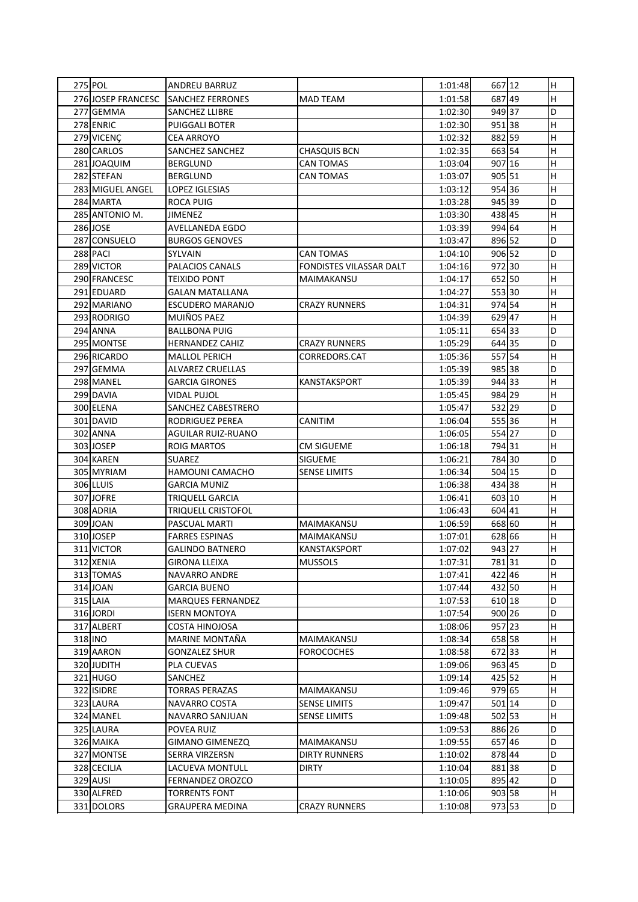| 275 POL            | ANDREU BARRUZ             |                         | 1:01:48 | 667 12 | н            |
|--------------------|---------------------------|-------------------------|---------|--------|--------------|
| 276 JOSEP FRANCESC | <b>SANCHEZ FERRONES</b>   | <b>MAD TEAM</b>         | 1:01:58 | 687 49 | H            |
| 277 GEMMA          | <b>SANCHEZ LLIBRE</b>     |                         | 1:02:30 | 949 37 | D            |
| 278 ENRIC          | <b>PUIGGALI BOTER</b>     |                         | 1:02:30 | 95138  | H            |
| 279 VICENÇ         | <b>CEA ARROYO</b>         |                         | 1:02:32 | 882 59 | H            |
| 280 CARLOS         | <b>SANCHEZ SANCHEZ</b>    | <b>CHASQUIS BCN</b>     | 1:02:35 | 663 54 | $\mathsf{H}$ |
| 281JOAQUIM         | <b>BERGLUND</b>           | <b>CAN TOMAS</b>        | 1:03:04 | 907 16 | Н            |
| 282 STEFAN         | <b>BERGLUND</b>           | <b>CAN TOMAS</b>        | 1:03:07 | 905 51 | H            |
| 283 MIGUEL ANGEL   | <b>LOPEZ IGLESIAS</b>     |                         | 1:03:12 | 954 36 | H            |
| 284 MARTA          | <b>ROCA PUIG</b>          |                         | 1:03:28 | 945 39 | D            |
| 285 ANTONIO M.     | <b>JIMENEZ</b>            |                         | 1:03:30 | 438 45 | $\mathsf{H}$ |
| 286 JOSE           | <b>AVELLANEDA EGDO</b>    |                         | 1:03:39 | 994 64 | Н            |
| 287 CONSUELO       | <b>BURGOS GENOVES</b>     |                         | 1:03:47 | 896 52 | D            |
| 288 PACI           | SYLVAIN                   | <b>CAN TOMAS</b>        | 1:04:10 | 906 52 | D            |
| 289 VICTOR         | PALACIOS CANALS           | FONDISTES VILASSAR DALT | 1:04:16 | 97230  | H            |
| 290 FRANCESC       | <b>TEIXIDO PONT</b>       | MAIMAKANSU              | 1:04:17 | 652 50 | $\mathsf{H}$ |
| 291 EDUARD         | <b>GALAN MATALLANA</b>    |                         | 1:04:27 | 55330  | Н            |
| 292 MARIANO        | <b>ESCUDERO MARANJO</b>   | <b>CRAZY RUNNERS</b>    | 1:04:31 | 974 54 | H            |
| 293 RODRIGO        | MUIÑOS PAEZ               |                         | 1:04:39 | 629 47 | H            |
| 294 ANNA           | <b>BALLBONA PUIG</b>      |                         | 1:05:11 | 654 33 | D            |
| 295 MONTSE         | <b>HERNANDEZ CAHIZ</b>    | <b>CRAZY RUNNERS</b>    | 1:05:29 | 644 35 | D            |
| 296 RICARDO        | <b>MALLOL PERICH</b>      | CORREDORS.CAT           | 1:05:36 | 557 54 | H            |
| 297 GEMMA          | <b>ALVAREZ CRUELLAS</b>   |                         | 1:05:39 | 985 38 | D            |
| 298 MANEL          | <b>GARCIA GIRONES</b>     | KANSTAKSPORT            | 1:05:39 | 944 33 | Н            |
| 299 DAVIA          | <b>VIDAL PUJOL</b>        |                         | 1:05:45 | 984 29 | H            |
| 300 ELENA          | SANCHEZ CABESTRERO        |                         | 1:05:47 | 532 29 | D            |
| 301 DAVID          | <b>RODRIGUEZ PEREA</b>    | <b>CANITIM</b>          | 1:06:04 | 55536  | H            |
| 302 ANNA           | <b>AGUILAR RUIZ-RUANO</b> |                         | 1:06:05 | 554 27 | D            |
| 303JOSEP           | <b>ROIG MARTOS</b>        | <b>CM SIGUEME</b>       | 1:06:18 | 794 31 | H            |
| 304 KAREN          | <b>SUAREZ</b>             | <b>SIGUEME</b>          | 1:06:21 | 784 30 | D            |
| 305 MYRIAM         | HAMOUNI CAMACHO           | <b>SENSE LIMITS</b>     | 1:06:34 | 504 15 | D            |
| 306 LLUIS          | <b>GARCIA MUNIZ</b>       |                         | 1:06:38 | 434 38 | H            |
| 307JOFRE           | <b>TRIQUELL GARCIA</b>    |                         | 1:06:41 | 603 10 | H            |
| 308 ADRIA          | <b>TRIQUELL CRISTOFOL</b> |                         | 1:06:43 | 604 41 | H            |
| 309 JOAN           | PASCUAL MARTI             | MAIMAKANSU              | 1:06:59 | 668 60 | H            |
| 310JOSEP           | <b>FARRES ESPINAS</b>     | MAIMAKANSU              | 1:07:01 | 628 66 | H            |
| 311 VICTOR         | <b>GALINDO BATNERO</b>    | <b>KANSTAKSPORT</b>     | 1:07:02 | 943 27 | H            |
| 312 XENIA          | <b>GIRONA LLEIXA</b>      | <b>MUSSOLS</b>          | 1:07:31 | 78131  | D            |
| 313 TOMAS          | <b>NAVARRO ANDRE</b>      |                         | 1:07:41 | 42246  | H            |
| 314 JOAN           | <b>GARCIA BUENO</b>       |                         | 1:07:44 | 432 50 | H            |
| $315$ LAIA         | <b>MARQUES FERNANDEZ</b>  |                         | 1:07:53 | 610 18 | D            |
| 316 JORDI          | <b>ISERN MONTOYA</b>      |                         | 1:07:54 | 900 26 | D            |
| 317 ALBERT         | <b>COSTA HINOJOSA</b>     |                         | 1:08:06 | 957 23 | H            |
| 318 INO            | MARINE MONTAÑA            | MAIMAKANSU              | 1:08:34 | 658 58 | H            |
| 319 AARON          | <b>GONZALEZ SHUR</b>      | <b>FOROCOCHES</b>       | 1:08:58 | 67233  | H            |
| 320 JUDITH         | <b>PLA CUEVAS</b>         |                         | 1:09:06 | 963 45 | D            |
| 321 HUGO           | SANCHEZ                   |                         | 1:09:14 | 425 52 | H            |
| 322 ISIDRE         | <b>TORRAS PERAZAS</b>     | MAIMAKANSU              | 1:09:46 | 979 65 | H            |
| 323 LAURA          | NAVARRO COSTA             | <b>SENSE LIMITS</b>     | 1:09:47 | 501 14 | D            |
| 324 MANEL          | NAVARRO SANJUAN           | <b>SENSE LIMITS</b>     | 1:09:48 | 502 53 | H            |
| 325 LAURA          | POVEA RUIZ                |                         | 1:09:53 | 886 26 | D            |
| 326 MAIKA          | <b>GIMANO GIMENEZQ</b>    | MAIMAKANSU              | 1:09:55 | 657 46 | D            |
| 327 MONTSE         | SERRA VIRZERSN            | <b>DIRTY RUNNERS</b>    | 1:10:02 | 878 44 | D            |
| 328 CECILIA        | LACUEVA MONTULL           | <b>DIRTY</b>            | 1:10:04 | 88138  | D            |
| 329 AUSI           | <b>FERNANDEZ OROZCO</b>   |                         | 1:10:05 | 895 42 | D            |
| 330 ALFRED         | <b>TORRENTS FONT</b>      |                         | 1:10:06 | 903 58 | H            |
| 331 DOLORS         | <b>GRAUPERA MEDINA</b>    | <b>CRAZY RUNNERS</b>    | 1:10:08 | 973 53 | D            |